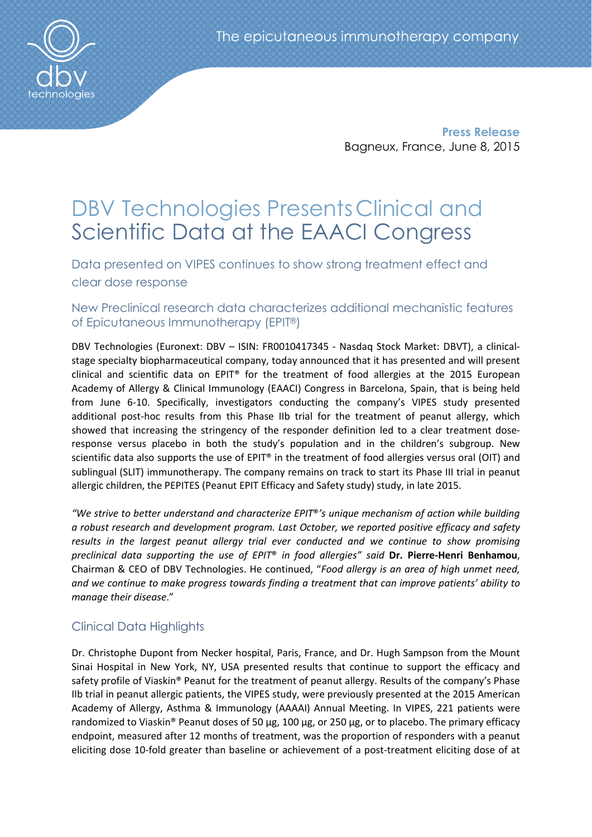

Press Release Bagneux, France, June 8, 2015

# DBV Technologies PresentsClinical and Scientific Data at the EAACI Congress

Data presented on VIPES continues to show strong treatment effect and clear dose response

New Preclinical research data characterizes additional mechanistic features of Epicutaneous Immunotherapy (EPIT®)

DBV Technologies (Euronext: DBV – ISIN: FR0010417345 - Nasdaq Stock Market: DBVT), a clinicalstage specialty biopharmaceutical company, today announced that it has presented and will present clinical and scientific data on EPIT® for the treatment of food allergies at the 2015 European Academy of Allergy & Clinical Immunology (EAACI) Congress in Barcelona, Spain, that is being held from June 6-10. Specifically, investigators conducting the company's VIPES study presented additional post-hoc results from this Phase IIb trial for the treatment of peanut allergy, which showed that increasing the stringency of the responder definition led to a clear treatment doseresponse versus placebo in both the study's population and in the children's subgroup. New scientific data also supports the use of EPIT® in the treatment of food allergies versus oral (OIT) and sublingual (SLIT) immunotherapy. The company remains on track to start its Phase III trial in peanut allergic children, the PEPITES (Peanut EPIT Efficacy and Safety study) study, in late 2015.

*"We strive to better understand and characterize EPIT*®*'s unique mechanism of action while building a robust research and development program. Last October, we reported positive efficacy and safety results in the largest peanut allergy trial ever conducted and we continue to show promising preclinical data supporting the use of EPIT*® *in food allergies" said* Dr. Pierre-Henri Benhamou, Chairman & CEO of DBV Technologies. He continued, "*Food allergy is an area of high unmet need, and we continue to make progress towards finding a treatment that can improve patients' ability to manage their disease*."

## Clinical Data Highlights

Dr. Christophe Dupont from Necker hospital, Paris, France, and Dr. Hugh Sampson from the Mount Sinai Hospital in New York, NY, USA presented results that continue to support the efficacy and safety profile of Viaskin® Peanut for the treatment of peanut allergy. Results of the company's Phase IIb trial in peanut allergic patients, the VIPES study, were previously presented at the 2015 American Academy of Allergy, Asthma & Immunology (AAAAI) Annual Meeting. In VIPES, 221 patients were randomized to Viaskin® Peanut doses of 50 μg, 100 μg, or 250 μg, or to placebo. The primary efficacy endpoint, measured after 12 months of treatment, was the proportion of responders with a peanut eliciting dose 10-fold greater than baseline or achievement of a post-treatment eliciting dose of at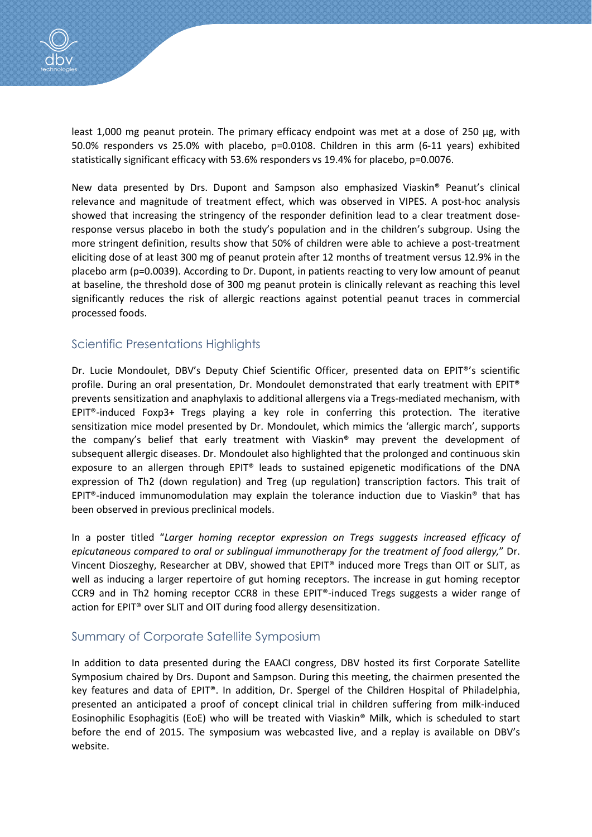

least 1,000 mg peanut protein. The primary efficacy endpoint was met at a dose of 250 μg, with 50.0% responders vs 25.0% with placebo, p=0.0108. Children in this arm (6-11 years) exhibited statistically significant efficacy with 53.6% responders vs 19.4% for placebo, p=0.0076.

New data presented by Drs. Dupont and Sampson also emphasized Viaskin® Peanut's clinical relevance and magnitude of treatment effect, which was observed in VIPES. A post-hoc analysis showed that increasing the stringency of the responder definition lead to a clear treatment doseresponse versus placebo in both the study's population and in the children's subgroup. Using the more stringent definition, results show that 50% of children were able to achieve a post-treatment eliciting dose of at least 300 mg of peanut protein after 12 months of treatment versus 12.9% in the placebo arm (p=0.0039). According to Dr. Dupont, in patients reacting to very low amount of peanut at baseline, the threshold dose of 300 mg peanut protein is clinically relevant as reaching this level significantly reduces the risk of allergic reactions against potential peanut traces in commercial processed foods.

## Scientific Presentations Highlights

Dr. Lucie Mondoulet, DBV's Deputy Chief Scientific Officer, presented data on EPIT®'s scientific profile. During an oral presentation, Dr. Mondoulet demonstrated that early treatment with EPIT® prevents sensitization and anaphylaxis to additional allergens via a Tregs-mediated mechanism, with EPIT®-induced Foxp3+ Tregs playing a key role in conferring this protection. The iterative sensitization mice model presented by Dr. Mondoulet, which mimics the 'allergic march', supports the company's belief that early treatment with Viaskin® may prevent the development of subsequent allergic diseases. Dr. Mondoulet also highlighted that the prolonged and continuous skin exposure to an allergen through EPIT® leads to sustained epigenetic modifications of the DNA expression of Th2 (down regulation) and Treg (up regulation) transcription factors. This trait of EPIT®-induced immunomodulation may explain the tolerance induction due to Viaskin® that has been observed in previous preclinical models.

In a poster titled "*Larger homing receptor expression on Tregs suggests increased efficacy of epicutaneous compared to oral or sublingual immunotherapy for the treatment of food allergy,*" Dr. Vincent Dioszeghy, Researcher at DBV, showed that EPIT® induced more Tregs than OIT or SLIT, as well as inducing a larger repertoire of gut homing receptors. The increase in gut homing receptor CCR9 and in Th2 homing receptor CCR8 in these EPIT®-induced Tregs suggests a wider range of action for EPIT® over SLIT and OIT during food allergy desensitization.

## Summary of Corporate Satellite Symposium

In addition to data presented during the EAACI congress, DBV hosted its first Corporate Satellite Symposium chaired by Drs. Dupont and Sampson. During this meeting, the chairmen presented the key features and data of EPIT®. In addition, Dr. Spergel of the Children Hospital of Philadelphia, presented an anticipated a proof of concept clinical trial in children suffering from milk-induced Eosinophilic Esophagitis (EoE) who will be treated with Viaskin® Milk, which is scheduled to start before the end of 2015. The symposium was webcasted live, and a replay is available on DBV's website.